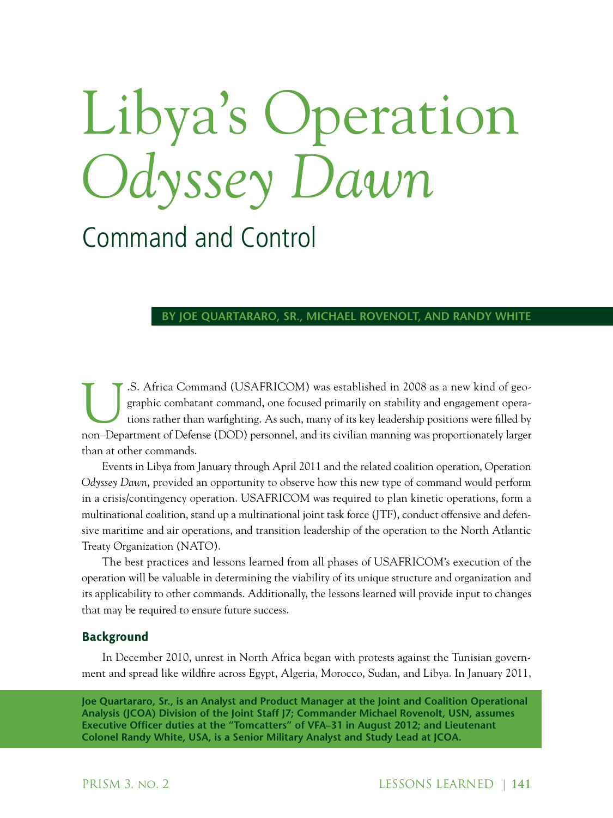# Libya's Operation *Odyssey Dawn*

# Command and Control

**By Joe Quartararo, Sr., Michael Rovenolt, and Randy White**

U.S. Africa Command (USAFRICOM) was established in 2008 as a new kind of geographic combatant command, one focused primarily on stability and engagement operations rather than warfighting. As such, many of its key leadersh graphic combatant command, one focused primarily on stability and engagement operations rather than warfighting. As such, many of its key leadership positions were filled by non–Department of Defense (DOD) personnel, and its civilian manning was proportionately larger than at other commands.

Events in Libya from January through April 2011 and the related coalition operation, Operation *Odyssey Dawn*, provided an opportunity to observe how this new type of command would perform in a crisis/contingency operation. USAFRICOM was required to plan kinetic operations, form a multinational coalition, stand up a multinational joint task force (JTF), conduct offensive and defensive maritime and air operations, and transition leadership of the operation to the North Atlantic Treaty Organization (NATO).

The best practices and lessons learned from all phases of USAFRICOM's execution of the operation will be valuable in determining the viability of its unique structure and organization and its applicability to other commands. Additionally, the lessons learned will provide input to changes that may be required to ensure future success.

#### **Background**

In December 2010, unrest in North Africa began with protests against the Tunisian government and spread like wildfire across Egypt, Algeria, Morocco, Sudan, and Libya. In January 2011,

**Joe Quartararo, Sr., is an Analyst and Product Manager at the Joint and Coalition Operational Analysis (JCOA) Division of the Joint Staff J7; Commander Michael Rovenolt, USN, assumes Executive Officer duties at the "Tomcatters" of VFA–31 in August 2012; and Lieutenant Colonel Randy White, USA, is a Senior Military Analyst and Study Lead at JCOA.**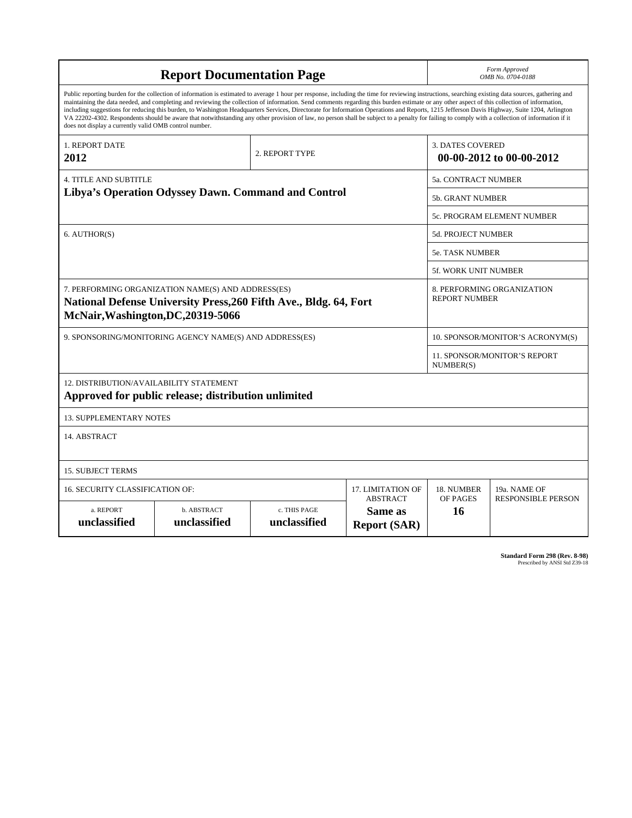| <b>Report Documentation Page</b>                                                                                                                                                                                                                                                                                                                                                                                                                                                                                                                                                                                                                                                                                                                                                                                                                                   |                             |                              |                                                   |                                                     | Form Approved<br>OMB No. 0704-0188                 |  |  |  |
|--------------------------------------------------------------------------------------------------------------------------------------------------------------------------------------------------------------------------------------------------------------------------------------------------------------------------------------------------------------------------------------------------------------------------------------------------------------------------------------------------------------------------------------------------------------------------------------------------------------------------------------------------------------------------------------------------------------------------------------------------------------------------------------------------------------------------------------------------------------------|-----------------------------|------------------------------|---------------------------------------------------|-----------------------------------------------------|----------------------------------------------------|--|--|--|
| Public reporting burden for the collection of information is estimated to average 1 hour per response, including the time for reviewing instructions, searching existing data sources, gathering and<br>maintaining the data needed, and completing and reviewing the collection of information. Send comments regarding this burden estimate or any other aspect of this collection of information,<br>including suggestions for reducing this burden, to Washington Headquarters Services, Directorate for Information Operations and Reports, 1215 Jefferson Davis Highway, Suite 1204, Arlington<br>VA 22202-4302. Respondents should be aware that notwithstanding any other provision of law, no person shall be subject to a penalty for failing to comply with a collection of information if it<br>does not display a currently valid OMB control number. |                             |                              |                                                   |                                                     |                                                    |  |  |  |
| 1. REPORT DATE<br>2012                                                                                                                                                                                                                                                                                                                                                                                                                                                                                                                                                                                                                                                                                                                                                                                                                                             |                             | 2. REPORT TYPE               |                                                   | <b>3. DATES COVERED</b><br>00-00-2012 to 00-00-2012 |                                                    |  |  |  |
| <b>4. TITLE AND SUBTITLE</b>                                                                                                                                                                                                                                                                                                                                                                                                                                                                                                                                                                                                                                                                                                                                                                                                                                       |                             |                              |                                                   |                                                     | 5a. CONTRACT NUMBER                                |  |  |  |
| Libya's Operation Odyssey Dawn. Command and Control                                                                                                                                                                                                                                                                                                                                                                                                                                                                                                                                                                                                                                                                                                                                                                                                                |                             |                              |                                                   |                                                     | 5b. GRANT NUMBER                                   |  |  |  |
|                                                                                                                                                                                                                                                                                                                                                                                                                                                                                                                                                                                                                                                                                                                                                                                                                                                                    |                             |                              |                                                   |                                                     | 5c. PROGRAM ELEMENT NUMBER                         |  |  |  |
| 6. AUTHOR(S)                                                                                                                                                                                                                                                                                                                                                                                                                                                                                                                                                                                                                                                                                                                                                                                                                                                       |                             |                              |                                                   |                                                     | 5d. PROJECT NUMBER                                 |  |  |  |
|                                                                                                                                                                                                                                                                                                                                                                                                                                                                                                                                                                                                                                                                                                                                                                                                                                                                    |                             |                              |                                                   |                                                     | 5e. TASK NUMBER                                    |  |  |  |
|                                                                                                                                                                                                                                                                                                                                                                                                                                                                                                                                                                                                                                                                                                                                                                                                                                                                    |                             |                              |                                                   |                                                     | <b>5f. WORK UNIT NUMBER</b>                        |  |  |  |
| 7. PERFORMING ORGANIZATION NAME(S) AND ADDRESS(ES)<br>National Defense University Press, 260 Fifth Ave., Bldg. 64, Fort<br>McNair, Washington, DC, 20319-5066                                                                                                                                                                                                                                                                                                                                                                                                                                                                                                                                                                                                                                                                                                      |                             |                              |                                                   |                                                     | 8. PERFORMING ORGANIZATION<br><b>REPORT NUMBER</b> |  |  |  |
| 9. SPONSORING/MONITORING AGENCY NAME(S) AND ADDRESS(ES)                                                                                                                                                                                                                                                                                                                                                                                                                                                                                                                                                                                                                                                                                                                                                                                                            |                             |                              |                                                   |                                                     | 10. SPONSOR/MONITOR'S ACRONYM(S)                   |  |  |  |
|                                                                                                                                                                                                                                                                                                                                                                                                                                                                                                                                                                                                                                                                                                                                                                                                                                                                    |                             |                              |                                                   |                                                     | <b>11. SPONSOR/MONITOR'S REPORT</b><br>NUMBER(S)   |  |  |  |
| 12. DISTRIBUTION/AVAILABILITY STATEMENT<br>Approved for public release; distribution unlimited                                                                                                                                                                                                                                                                                                                                                                                                                                                                                                                                                                                                                                                                                                                                                                     |                             |                              |                                                   |                                                     |                                                    |  |  |  |
| <b>13. SUPPLEMENTARY NOTES</b>                                                                                                                                                                                                                                                                                                                                                                                                                                                                                                                                                                                                                                                                                                                                                                                                                                     |                             |                              |                                                   |                                                     |                                                    |  |  |  |
| 14. ABSTRACT                                                                                                                                                                                                                                                                                                                                                                                                                                                                                                                                                                                                                                                                                                                                                                                                                                                       |                             |                              |                                                   |                                                     |                                                    |  |  |  |
| <b>15. SUBJECT TERMS</b>                                                                                                                                                                                                                                                                                                                                                                                                                                                                                                                                                                                                                                                                                                                                                                                                                                           |                             |                              |                                                   |                                                     |                                                    |  |  |  |
| 16. SECURITY CLASSIFICATION OF:                                                                                                                                                                                                                                                                                                                                                                                                                                                                                                                                                                                                                                                                                                                                                                                                                                    | 17. LIMITATION OF           | 18. NUMBER                   | 19a. NAME OF                                      |                                                     |                                                    |  |  |  |
| a. REPORT<br>unclassified                                                                                                                                                                                                                                                                                                                                                                                                                                                                                                                                                                                                                                                                                                                                                                                                                                          | b. ABSTRACT<br>unclassified | c. THIS PAGE<br>unclassified | <b>ABSTRACT</b><br>Same as<br><b>Report (SAR)</b> | OF PAGES<br>16                                      | <b>RESPONSIBLE PERSON</b>                          |  |  |  |

| <b>Standard Form 298 (Rev. 8-98)</b> |                               |  |  |
|--------------------------------------|-------------------------------|--|--|
|                                      | Prescribed by ANSI Std Z39-18 |  |  |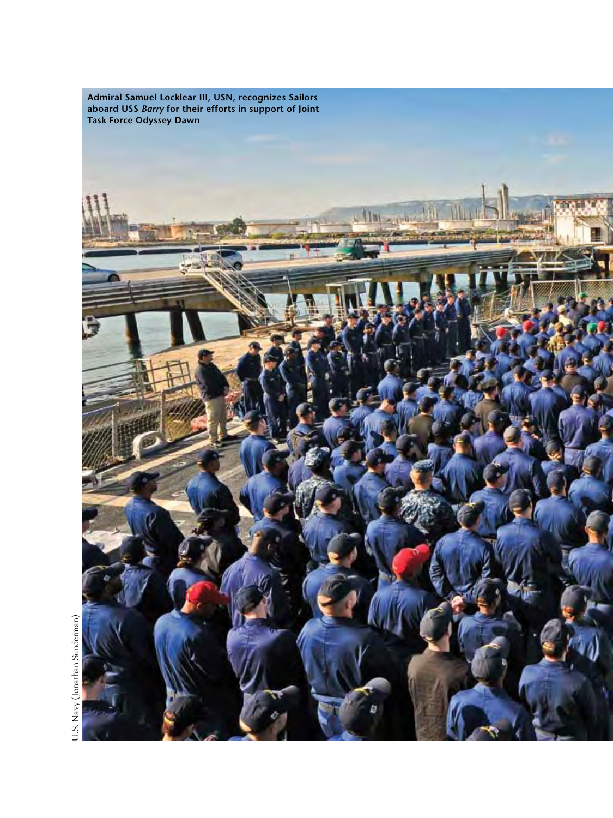

U.S. Navy (Jonathan Sunderman) U.S. Navy (Jonathan Sunderman)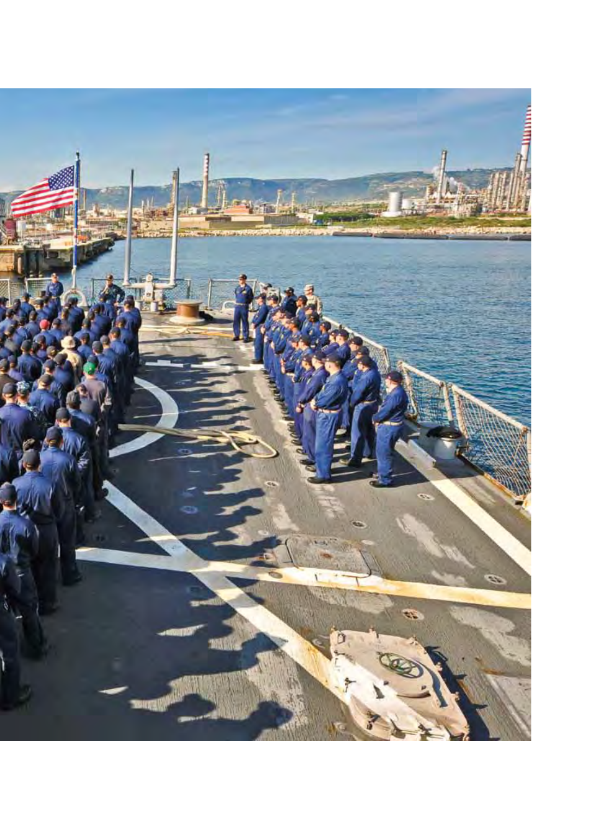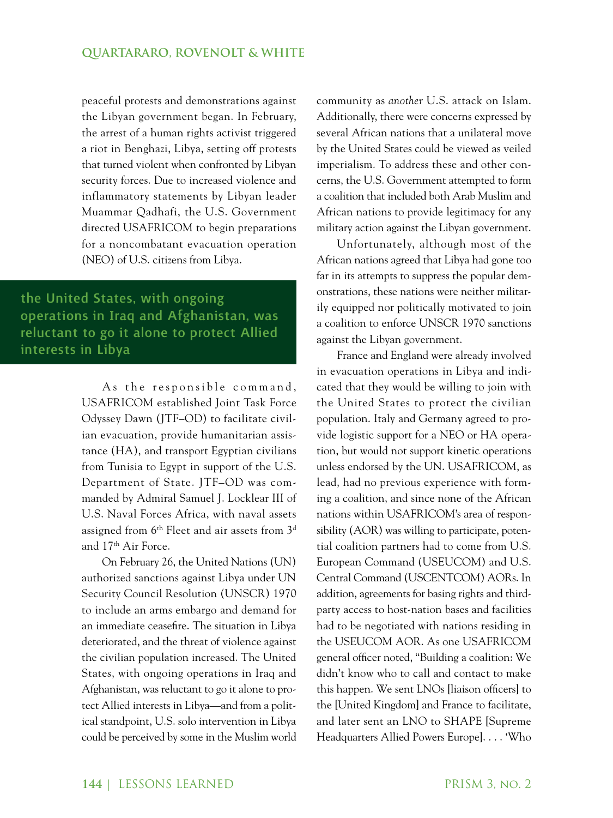peaceful protests and demonstrations against the Libyan government began. In February, the arrest of a human rights activist triggered a riot in Benghazi, Libya, setting off protests that turned violent when confronted by Libyan security forces. Due to increased violence and inflammatory statements by Libyan leader Muammar Qadhafi, the U.S. Government directed USAFRICOM to begin preparations for a noncombatant evacuation operation (NEO) of U.S. citizens from Libya.

the United States, with ongoing operations in Iraq and Afghanistan, was reluctant to go it alone to protect Allied interests in Libya

> As the responsible command, USAFRICOM established Joint Task Force Odyssey Dawn (JTF–OD) to facilitate civilian evacuation, provide humanitarian assistance (HA), and transport Egyptian civilians from Tunisia to Egypt in support of the U.S. Department of State. JTF–OD was commanded by Admiral Samuel J. Locklear III of U.S. Naval Forces Africa, with naval assets assigned from 6<sup>th</sup> Fleet and air assets from 3<sup>d</sup> and 17<sup>th</sup> Air Force.

> On February 26, the United Nations (UN) authorized sanctions against Libya under UN Security Council Resolution (UNSCR) 1970 to include an arms embargo and demand for an immediate ceasefire. The situation in Libya deteriorated, and the threat of violence against the civilian population increased. The United States, with ongoing operations in Iraq and Afghanistan, was reluctant to go it alone to protect Allied interests in Libya—and from a political standpoint, U.S. solo intervention in Libya could be perceived by some in the Muslim world

community as *another* U.S. attack on Islam. Additionally, there were concerns expressed by several African nations that a unilateral move by the United States could be viewed as veiled imperialism. To address these and other concerns, the U.S. Government attempted to form a coalition that included both Arab Muslim and African nations to provide legitimacy for any military action against the Libyan government.

Unfortunately, although most of the African nations agreed that Libya had gone too far in its attempts to suppress the popular demonstrations, these nations were neither militarily equipped nor politically motivated to join a coalition to enforce UNSCR 1970 sanctions against the Libyan government.

France and England were already involved in evacuation operations in Libya and indicated that they would be willing to join with the United States to protect the civilian population. Italy and Germany agreed to provide logistic support for a NEO or HA operation, but would not support kinetic operations unless endorsed by the UN. USAFRICOM, as lead, had no previous experience with forming a coalition, and since none of the African nations within USAFRICOM's area of responsibility (AOR) was willing to participate, potential coalition partners had to come from U.S. European Command (USEUCOM) and U.S. Central Command (USCENTCOM) AORs. In addition, agreements for basing rights and thirdparty access to host-nation bases and facilities had to be negotiated with nations residing in the USEUCOM AOR. As one USAFRICOM general officer noted, "Building a coalition: We didn't know who to call and contact to make this happen. We sent LNOs [liaison officers] to the [United Kingdom] and France to facilitate, and later sent an LNO to SHAPE [Supreme Headquarters Allied Powers Europe]. . . . 'Who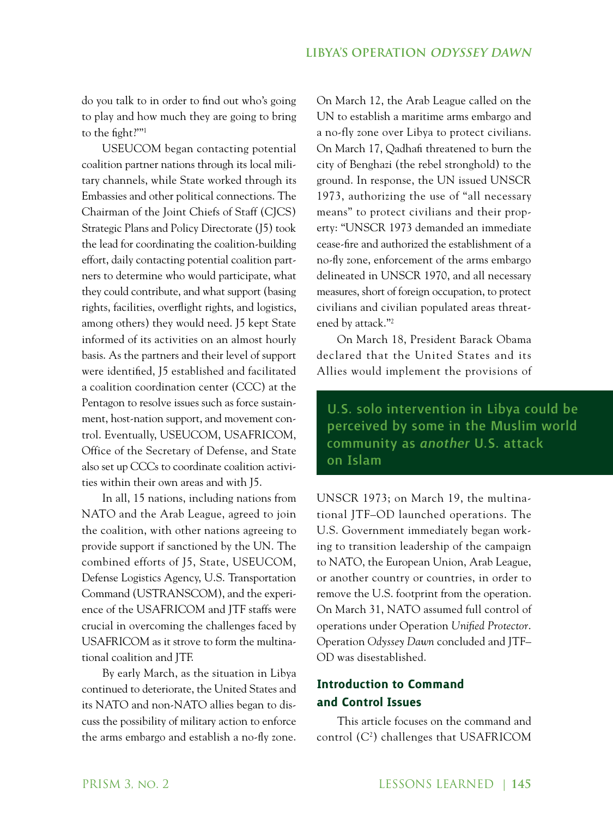do you talk to in order to find out who's going to play and how much they are going to bring to the fight?'"1

USEUCOM began contacting potential coalition partner nations through its local military channels, while State worked through its Embassies and other political connections. The Chairman of the Joint Chiefs of Staff (CJCS) Strategic Plans and Policy Directorate (J5) took the lead for coordinating the coalition-building effort, daily contacting potential coalition partners to determine who would participate, what they could contribute, and what support (basing rights, facilities, overflight rights, and logistics, among others) they would need. J5 kept State informed of its activities on an almost hourly basis. As the partners and their level of support were identified, J5 established and facilitated a coalition coordination center (CCC) at the Pentagon to resolve issues such as force sustainment, host-nation support, and movement control. Eventually, USEUCOM, USAFRICOM, Office of the Secretary of Defense, and State also set up CCCs to coordinate coalition activities within their own areas and with J5.

In all, 15 nations, including nations from NATO and the Arab League, agreed to join the coalition, with other nations agreeing to provide support if sanctioned by the UN. The combined efforts of J5, State, USEUCOM, Defense Logistics Agency, U.S. Transportation Command (USTRANSCOM), and the experience of the USAFRICOM and JTF staffs were crucial in overcoming the challenges faced by USAFRICOM as it strove to form the multinational coalition and JTF.

By early March, as the situation in Libya continued to deteriorate, the United States and its NATO and non-NATO allies began to discuss the possibility of military action to enforce the arms embargo and establish a no-fly zone.

On March 12, the Arab League called on the UN to establish a maritime arms embargo and a no-fly zone over Libya to protect civilians. On March 17, Qadhafi threatened to burn the city of Benghazi (the rebel stronghold) to the ground. In response, the UN issued UNSCR 1973, authorizing the use of "all necessary means" to protect civilians and their property: "UNSCR 1973 demanded an immediate cease-fire and authorized the establishment of a no-fly zone, enforcement of the arms embargo delineated in UNSCR 1970, and all necessary measures, short of foreign occupation, to protect civilians and civilian populated areas threatened by attack."2

On March 18, President Barack Obama declared that the United States and its Allies would implement the provisions of

U.S. solo intervention in Libya could be perceived by some in the Muslim world community as *another* U.S. attack on Islam

UNSCR 1973; on March 19, the multinational JTF–OD launched operations. The U.S. Government immediately began working to transition leadership of the campaign to NATO, the European Union, Arab League, or another country or countries, in order to remove the U.S. footprint from the operation. On March 31, NATO assumed full control of operations under Operation *Unified Protector*. Operation *Odyssey Dawn* concluded and JTF– OD was disestablished.

## **Introduction to Command and Control Issues**

This article focuses on the command and control (C2 ) challenges that USAFRICOM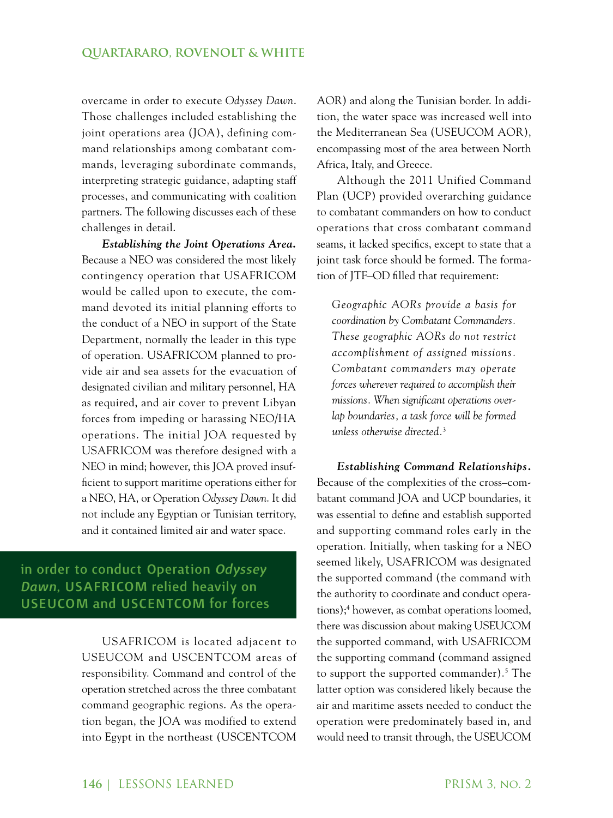overcame in order to execute *Odyssey Dawn*. Those challenges included establishing the joint operations area (JOA), defining command relationships among combatant commands, leveraging subordinate commands, interpreting strategic guidance, adapting staff processes, and communicating with coalition partners. The following discusses each of these challenges in detail.

*Establishing the Joint Operations Area.* Because a NEO was considered the most likely contingency operation that USAFRICOM would be called upon to execute, the command devoted its initial planning efforts to the conduct of a NEO in support of the State Department, normally the leader in this type of operation. USAFRICOM planned to provide air and sea assets for the evacuation of designated civilian and military personnel, HA as required, and air cover to prevent Libyan forces from impeding or harassing NEO/HA operations. The initial JOA requested by USAFRICOM was therefore designed with a NEO in mind; however, this JOA proved insufficient to support maritime operations either for a NEO, HA, or Operation *Odyssey Dawn*. It did not include any Egyptian or Tunisian territory, and it contained limited air and water space.

in order to conduct Operation *Odyssey Dawn*, USAFRICOM relied heavily on USEUCOM and USCENTCOM for forces

> USAFRICOM is located adjacent to USEUCOM and USCENTCOM areas of responsibility. Command and control of the operation stretched across the three combatant command geographic regions. As the operation began, the JOA was modified to extend into Egypt in the northeast (USCENTCOM

AOR) and along the Tunisian border. In addition, the water space was increased well into the Mediterranean Sea (USEUCOM AOR), encompassing most of the area between North Africa, Italy, and Greece.

Although the 2011 Unified Command Plan (UCP) provided overarching guidance to combatant commanders on how to conduct operations that cross combatant command seams, it lacked specifics, except to state that a joint task force should be formed. The formation of JTF–OD filled that requirement:

*Geographic AORs provide a basis for coordination by Combatant Commanders. These geographic AORs do not restrict accomplishment of assigned missions. Combatant commanders may operate forces wherever required to accomplish their missions. When significant operations overlap boundaries, a task force will be formed unless otherwise directed.*<sup>3</sup>

*Establishing Command Relationships.*  Because of the complexities of the cross–combatant command JOA and UCP boundaries, it was essential to define and establish supported and supporting command roles early in the operation. Initially, when tasking for a NEO seemed likely, USAFRICOM was designated the supported command (the command with the authority to coordinate and conduct operations);4 however, as combat operations loomed, there was discussion about making USEUCOM the supported command, with USAFRICOM the supporting command (command assigned to support the supported commander).5 The latter option was considered likely because the air and maritime assets needed to conduct the operation were predominately based in, and would need to transit through, the USEUCOM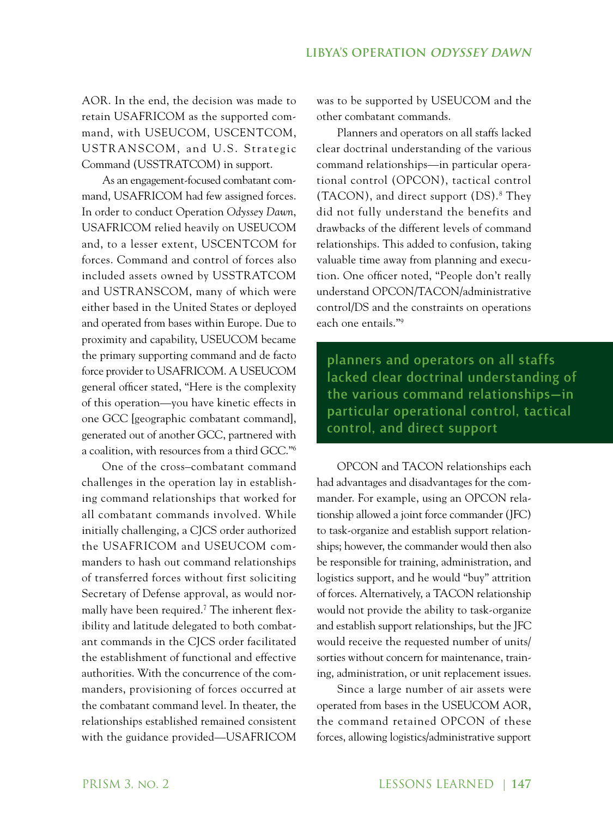AOR. In the end, the decision was made to retain USAFRICOM as the supported command, with USEUCOM, USCENTCOM, USTRANSCOM, and U.S. Strategic Command (USSTRATCOM) in support.

As an engagement-focused combatant command, USAFRICOM had few assigned forces. In order to conduct Operation *Odyssey Dawn*, USAFRICOM relied heavily on USEUCOM and, to a lesser extent, USCENTCOM for forces. Command and control of forces also included assets owned by USSTRATCOM and USTRANSCOM, many of which were either based in the United States or deployed and operated from bases within Europe. Due to proximity and capability, USEUCOM became the primary supporting command and de facto force provider to USAFRICOM. A USEUCOM general officer stated, "Here is the complexity of this operation—you have kinetic effects in one GCC [geographic combatant command], generated out of another GCC, partnered with a coalition, with resources from a third GCC."6

One of the cross–combatant command challenges in the operation lay in establishing command relationships that worked for all combatant commands involved. While initially challenging, a CJCS order authorized the USAFRICOM and USEUCOM commanders to hash out command relationships of transferred forces without first soliciting Secretary of Defense approval, as would normally have been required.7 The inherent flexibility and latitude delegated to both combatant commands in the CJCS order facilitated the establishment of functional and effective authorities. With the concurrence of the commanders, provisioning of forces occurred at the combatant command level. In theater, the relationships established remained consistent with the guidance provided—USAFRICOM

was to be supported by USEUCOM and the other combatant commands.

Planners and operators on all staffs lacked clear doctrinal understanding of the various command relationships—in particular operational control (OPCON), tactical control (TACON), and direct support (DS).8 They did not fully understand the benefits and drawbacks of the different levels of command relationships. This added to confusion, taking valuable time away from planning and execution. One officer noted, "People don't really understand OPCON/TACON/administrative control/DS and the constraints on operations each one entails."9

planners and operators on all staffs lacked clear doctrinal understanding of the various command relationships—in particular operational control, tactical control, and direct support

OPCON and TACON relationships each had advantages and disadvantages for the commander. For example, using an OPCON relationship allowed a joint force commander (JFC) to task-organize and establish support relationships; however, the commander would then also be responsible for training, administration, and logistics support, and he would "buy" attrition of forces. Alternatively, a TACON relationship would not provide the ability to task-organize and establish support relationships, but the JFC would receive the requested number of units/ sorties without concern for maintenance, training, administration, or unit replacement issues.

Since a large number of air assets were operated from bases in the USEUCOM AOR, the command retained OPCON of these forces, allowing logistics/administrative support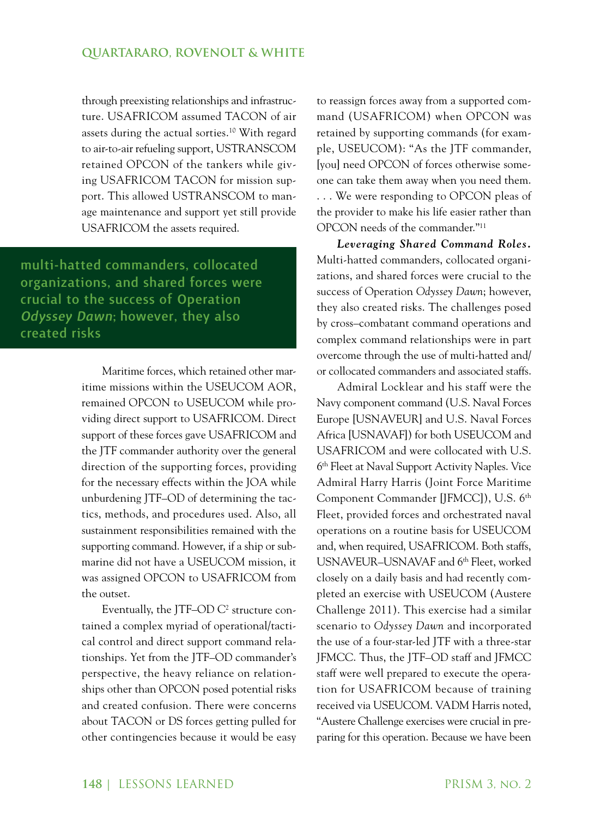through preexisting relationships and infrastructure. USAFRICOM assumed TACON of air assets during the actual sorties.10 With regard to air-to-air refueling support, USTRANSCOM retained OPCON of the tankers while giving USAFRICOM TACON for mission support. This allowed USTRANSCOM to manage maintenance and support yet still provide USAFRICOM the assets required.

multi-hatted commanders, collocated organizations, and shared forces were crucial to the success of Operation *Odyssey Dawn*; however, they also created risks

> Maritime forces, which retained other maritime missions within the USEUCOM AOR, remained OPCON to USEUCOM while providing direct support to USAFRICOM. Direct support of these forces gave USAFRICOM and the JTF commander authority over the general direction of the supporting forces, providing for the necessary effects within the JOA while unburdening JTF–OD of determining the tactics, methods, and procedures used. Also, all sustainment responsibilities remained with the supporting command. However, if a ship or submarine did not have a USEUCOM mission, it was assigned OPCON to USAFRICOM from the outset.

> Eventually, the JTF–OD  $C^2$  structure contained a complex myriad of operational/tactical control and direct support command relationships. Yet from the JTF–OD commander's perspective, the heavy reliance on relationships other than OPCON posed potential risks and created confusion. There were concerns about TACON or DS forces getting pulled for other contingencies because it would be easy

to reassign forces away from a supported command (USAFRICOM) when OPCON was retained by supporting commands (for example, USEUCOM): "As the JTF commander, [you] need OPCON of forces otherwise someone can take them away when you need them. . . . We were responding to OPCON pleas of the provider to make his life easier rather than OPCON needs of the commander."11

*Leveraging Shared Command Roles.* Multi-hatted commanders, collocated organizations, and shared forces were crucial to the success of Operation *Odyssey Dawn*; however, they also created risks. The challenges posed by cross–combatant command operations and complex command relationships were in part overcome through the use of multi-hatted and/ or collocated commanders and associated staffs.

Admiral Locklear and his staff were the Navy component command (U.S. Naval Forces Europe [USNAVEUR] and U.S. Naval Forces Africa [USNAVAF]) for both USEUCOM and USAFRICOM and were collocated with U.S. 6<sup>th</sup> Fleet at Naval Support Activity Naples. Vice Admiral Harry Harris (Joint Force Maritime Component Commander [JFMCC]), U.S. 6<sup>th</sup> Fleet, provided forces and orchestrated naval operations on a routine basis for USEUCOM and, when required, USAFRICOM. Both staffs, USNAVEUR–USNAVAF and 6th Fleet, worked closely on a daily basis and had recently completed an exercise with USEUCOM (Austere Challenge 2011). This exercise had a similar scenario to *Odyssey Dawn* and incorporated the use of a four-star-led JTF with a three-star JFMCC. Thus, the JTF–OD staff and JFMCC staff were well prepared to execute the operation for USAFRICOM because of training received via USEUCOM. VADM Harris noted, "Austere Challenge exercises were crucial in preparing for this operation. Because we have been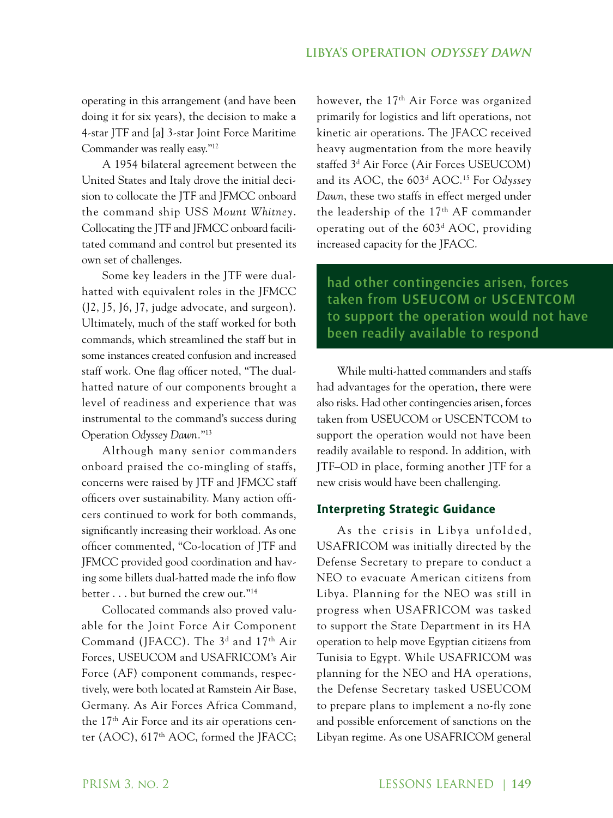operating in this arrangement (and have been doing it for six years), the decision to make a 4-star JTF and [a] 3-star Joint Force Maritime Commander was really easy."12

A 1954 bilateral agreement between the United States and Italy drove the initial decision to collocate the JTF and JFMCC onboard the command ship USS *Mount Whitney*. Collocating the JTF and JFMCC onboard facilitated command and control but presented its own set of challenges.

Some key leaders in the JTF were dualhatted with equivalent roles in the JFMCC (J2, J5, J6, J7, judge advocate, and surgeon). Ultimately, much of the staff worked for both commands, which streamlined the staff but in some instances created confusion and increased staff work. One flag officer noted, "The dualhatted nature of our components brought a level of readiness and experience that was instrumental to the command's success during Operation *Odyssey Dawn.*"13

Although many senior commanders onboard praised the co-mingling of staffs, concerns were raised by JTF and JFMCC staff officers over sustainability. Many action officers continued to work for both commands, significantly increasing their workload. As one officer commented, "Co-location of JTF and JFMCC provided good coordination and having some billets dual-hatted made the info flow better . . . but burned the crew out."14

Collocated commands also proved valuable for the Joint Force Air Component Command (JFACC). The 3<sup>d</sup> and 17<sup>th</sup> Air Forces, USEUCOM and USAFRICOM's Air Force (AF) component commands, respectively, were both located at Ramstein Air Base, Germany. As Air Forces Africa Command, the 17<sup>th</sup> Air Force and its air operations center (AOC), 617<sup>th</sup> AOC, formed the JFACC;

however, the 17<sup>th</sup> Air Force was organized primarily for logistics and lift operations, not kinetic air operations. The JFACC received heavy augmentation from the more heavily staffed 3d Air Force (Air Forces USEUCOM) and its AOC, the 603d AOC.15 For *Odyssey Dawn*, these two staffs in effect merged under the leadership of the 17<sup>th</sup> AF commander operating out of the 603d AOC, providing increased capacity for the JFACC.

had other contingencies arisen, forces taken from USEUCOM or USCENTCOM to support the operation would not have been readily available to respond

While multi-hatted commanders and staffs had advantages for the operation, there were also risks. Had other contingencies arisen, forces taken from USEUCOM or USCENTCOM to support the operation would not have been readily available to respond. In addition, with JTF–OD in place, forming another JTF for a new crisis would have been challenging.

#### **Interpreting Strategic Guidance**

As the crisis in Libya unfolded, USAFRICOM was initially directed by the Defense Secretary to prepare to conduct a NEO to evacuate American citizens from Libya. Planning for the NEO was still in progress when USAFRICOM was tasked to support the State Department in its HA operation to help move Egyptian citizens from Tunisia to Egypt. While USAFRICOM was planning for the NEO and HA operations, the Defense Secretary tasked USEUCOM to prepare plans to implement a no-fly zone and possible enforcement of sanctions on the Libyan regime. As one USAFRICOM general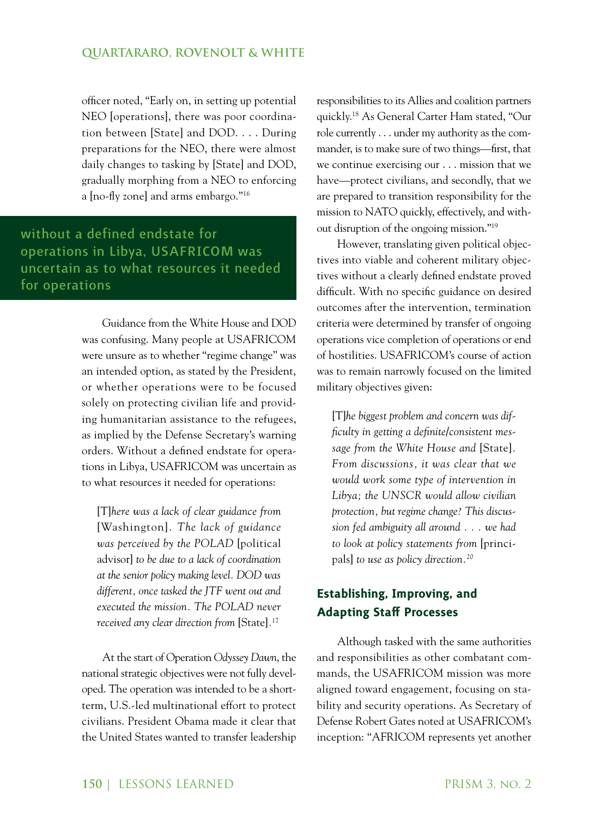#### **quartararo, Rovenolt & White**

officer noted, "Early on, in setting up potential NEO [operations], there was poor coordination between [State] and DOD. . . . During preparations for the NEO, there were almost daily changes to tasking by [State] and DOD, gradually morphing from a NEO to enforcing a [no-fly zone] and arms embargo."16

without a defined endstate for operations in Libya, USAFRICOM was uncertain as to what resources it needed for operations

> Guidance from the White House and DOD was confusing. Many people at USAFRICOM were unsure as to whether "regime change" was an intended option, as stated by the President, or whether operations were to be focused solely on protecting civilian life and providing humanitarian assistance to the refugees, as implied by the Defense Secretary's warning orders. Without a defined endstate for operations in Libya, USAFRICOM was uncertain as to what resources it needed for operations:

[T]*here was a lack of clear guidance from*  [Washington]*. The lack of guidance was perceived by the POLAD* [political advisor] *to be due to a lack of coordination at the senior policy making level. DOD was different, once tasked the JTF went out and executed the mission. The POLAD never received any clear direction from* [State]*.* 17

At the start of Operation *Odyssey Dawn*, the national strategic objectives were not fully developed. The operation was intended to be a shortterm, U.S.-led multinational effort to protect civilians. President Obama made it clear that the United States wanted to transfer leadership responsibilities to its Allies and coalition partners quickly.18 As General Carter Ham stated, "Our role currently . . . under my authority as the commander, is to make sure of two things—first, that we continue exercising our . . . mission that we have—protect civilians, and secondly, that we are prepared to transition responsibility for the mission to NATO quickly, effectively, and without disruption of the ongoing mission."19

However, translating given political objectives into viable and coherent military objectives without a clearly defined endstate proved difficult. With no specific guidance on desired outcomes after the intervention, termination criteria were determined by transfer of ongoing operations vice completion of operations or end of hostilities. USAFRICOM's course of action was to remain narrowly focused on the limited military objectives given:

[T]*he biggest problem and concern was difficulty in getting a definite/consistent message from the White House and* [State]*. From discussions, it was clear that we would work some type of intervention in Libya; the UNSCR would allow civilian protection, but regime change? This discussion fed ambiguity all around . . . we had to look at policy statements from* [principals] *to use as policy direction.*<sup>20</sup>

### **Establishing, Improving, and Adapting Staff Processes**

Although tasked with the same authorities and responsibilities as other combatant commands, the USAFRICOM mission was more aligned toward engagement, focusing on stability and security operations. As Secretary of Defense Robert Gates noted at USAFRICOM's inception: "AFRICOM represents yet another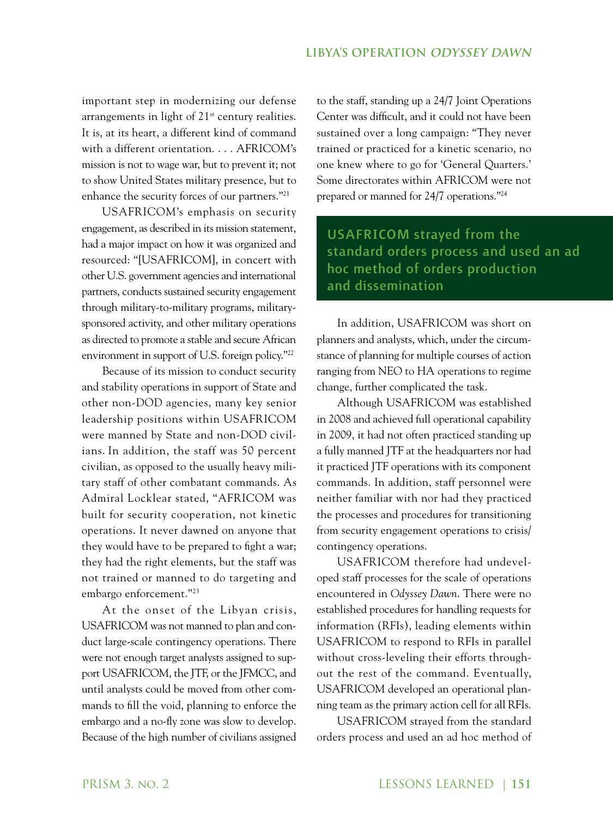important step in modernizing our defense arrangements in light of 21<sup>st</sup> century realities. It is, at its heart, a different kind of command with a different orientation. . . . AFRICOM's mission is not to wage war, but to prevent it; not to show United States military presence, but to enhance the security forces of our partners."21

USAFRICOM's emphasis on security engagement, as described in its mission statement, had a major impact on how it was organized and resourced: "[USAFRICOM], in concert with other U.S. government agencies and international partners, conducts sustained security engagement through military-to-military programs, militarysponsored activity, and other military operations as directed to promote a stable and secure African environment in support of U.S. foreign policy."22

Because of its mission to conduct security and stability operations in support of State and other non-DOD agencies, many key senior leadership positions within USAFRICOM were manned by State and non-DOD civilians. In addition, the staff was 50 percent civilian, as opposed to the usually heavy military staff of other combatant commands. As Admiral Locklear stated, "AFRICOM was built for security cooperation, not kinetic operations. It never dawned on anyone that they would have to be prepared to fight a war; they had the right elements, but the staff was not trained or manned to do targeting and embargo enforcement."23

At the onset of the Libyan crisis, USAFRICOM was not manned to plan and conduct large-scale contingency operations. There were not enough target analysts assigned to support USAFRICOM, the JTF, or the JFMCC, and until analysts could be moved from other commands to fill the void, planning to enforce the embargo and a no-fly zone was slow to develop. Because of the high number of civilians assigned to the staff, standing up a 24/7 Joint Operations Center was difficult, and it could not have been sustained over a long campaign: "They never trained or practiced for a kinetic scenario, no one knew where to go for 'General Quarters.' Some directorates within AFRICOM were not prepared or manned for 24/7 operations."24

USAFRICOM strayed from the standard orders process and used an ad hoc method of orders production and dissemination

In addition, USAFRICOM was short on planners and analysts, which, under the circumstance of planning for multiple courses of action ranging from NEO to HA operations to regime change, further complicated the task.

Although USAFRICOM was established in 2008 and achieved full operational capability in 2009, it had not often practiced standing up a fully manned JTF at the headquarters nor had it practiced JTF operations with its component commands. In addition, staff personnel were neither familiar with nor had they practiced the processes and procedures for transitioning from security engagement operations to crisis/ contingency operations.

USAFRICOM therefore had undeveloped staff processes for the scale of operations encountered in *Odyssey Dawn*. There were no established procedures for handling requests for information (RFIs), leading elements within USAFRICOM to respond to RFIs in parallel without cross-leveling their efforts throughout the rest of the command. Eventually, USAFRICOM developed an operational planning team as the primary action cell for all RFIs.

USAFRICOM strayed from the standard orders process and used an ad hoc method of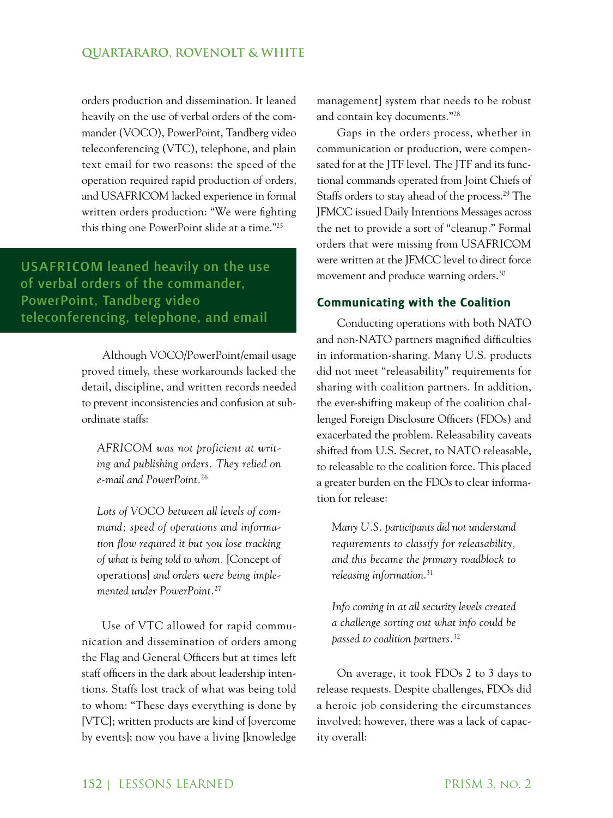orders production and dissemination. It leaned heavily on the use of verbal orders of the commander (VOCO), PowerPoint, Tandberg video teleconferencing (VTC), telephone, and plain text email for two reasons: the speed of the operation required rapid production of orders, and USAFRICOM lacked experience in formal written orders production: "We were fighting this thing one PowerPoint slide at a time."25

USAFRICOM leaned heavily on the use of verbal orders of the commander, PowerPoint, Tandberg video teleconferencing, telephone, and email

> Although VOCO/PowerPoint/email usage proved timely, these workarounds lacked the detail, discipline, and written records needed to prevent inconsistencies and confusion at subordinate staffs:

*AFRICOM was not proficient at writing and publishing orders. They relied on e-mail and PowerPoint.*<sup>26</sup>

*Lots of VOCO between all levels of command; speed of operations and information flow required it but you lose tracking of what is being told to whom.* [Concept of operations] *and orders were being implemented under PowerPoint.*<sup>27</sup>

Use of VTC allowed for rapid communication and dissemination of orders among the Flag and General Officers but at times left staff officers in the dark about leadership intentions. Staffs lost track of what was being told to whom: "These days everything is done by [VTC]; written products are kind of [overcome by events]; now you have a living [knowledge management] system that needs to be robust and contain key documents."28

Gaps in the orders process, whether in communication or production, were compensated for at the JTF level. The JTF and its functional commands operated from Joint Chiefs of Staffs orders to stay ahead of the process.<sup>29</sup> The JFMCC issued Daily Intentions Messages across the net to provide a sort of "cleanup." Formal orders that were missing from USAFRICOM were written at the JFMCC level to direct force movement and produce warning orders.<sup>30</sup>

#### **Communicating with the Coalition**

Conducting operations with both NATO and non-NATO partners magnified difficulties in information-sharing. Many U.S. products did not meet "releasability" requirements for sharing with coalition partners. In addition, the ever-shifting makeup of the coalition challenged Foreign Disclosure Officers (FDOs) and exacerbated the problem. Releasability caveats shifted from U.S. Secret, to NATO releasable, to releasable to the coalition force. This placed a greater burden on the FDOs to clear information for release:

*Many U.S. participants did not understand requirements to classify for releasability, and this became the primary roadblock to releasing information*. 31

*Info coming in at all security levels created a challenge sorting out what info could be passed to coalition partners.*<sup>32</sup>

On average, it took FDOs 2 to 3 days to release requests. Despite challenges, FDOs did a heroic job considering the circumstances involved; however, there was a lack of capacity overall: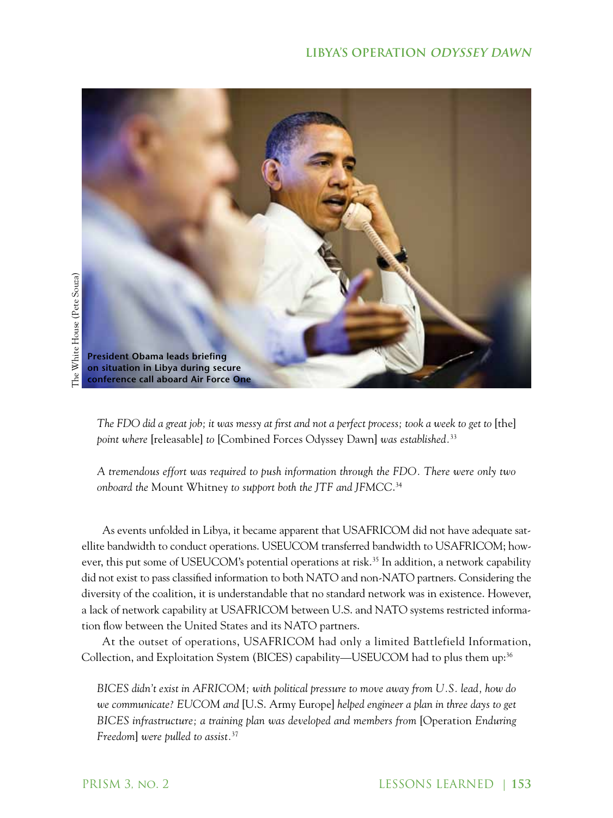#### **libya's operation odyssey dawn**



*The FDO did a great job; it was messy at first and not a perfect process; took a week to get to* [the] *point where* [releasable] *to* [Combined Forces Odyssey Dawn] *was established.*<sup>33</sup>

*A tremendous effort was required to push information through the FDO. There were only two onboard the* Mount Whitney *to support both the JTF and JFMCC*. 34

As events unfolded in Libya, it became apparent that USAFRICOM did not have adequate satellite bandwidth to conduct operations. USEUCOM transferred bandwidth to USAFRICOM; however, this put some of USEUCOM's potential operations at risk.<sup>35</sup> In addition, a network capability did not exist to pass classified information to both NATO and non-NATO partners. Considering the diversity of the coalition, it is understandable that no standard network was in existence. However, a lack of network capability at USAFRICOM between U.S. and NATO systems restricted information flow between the United States and its NATO partners.

At the outset of operations, USAFRICOM had only a limited Battlefield Information, Collection, and Exploitation System (BICES) capability—USEUCOM had to plus them up:36

*BICES didn't exist in AFRICOM; with political pressure to move away from U.S. lead, how do we communicate? EUCOM and* [U.S. Army Europe] *helped engineer a plan in three days to get BICES infrastructure; a training plan was developed and members from* [Operation *Enduring Freedom*] *were pulled to assist.*<sup>37</sup>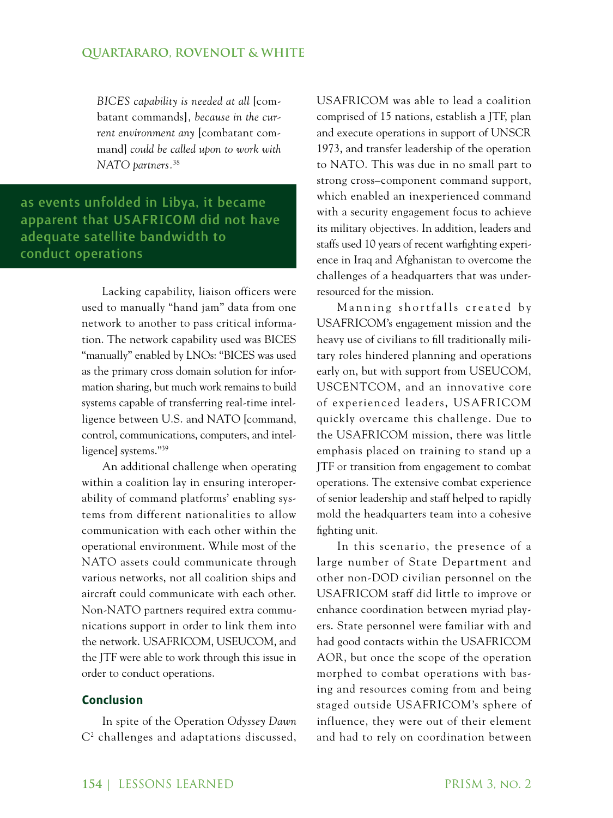#### **quartararo, Rovenolt & White**

*BICES capability is needed at all* [combatant commands]*, because in the current environment any* [combatant command] *could be called upon to work with NATO partners.*<sup>38</sup>

as events unfolded in Libya, it became apparent that USAFRICOM did not have adequate satellite bandwidth to conduct operations

> Lacking capability, liaison officers were used to manually "hand jam" data from one network to another to pass critical information. The network capability used was BICES "manually" enabled by LNOs: "BICES was used as the primary cross domain solution for information sharing, but much work remains to build systems capable of transferring real-time intelligence between U.S. and NATO [command, control, communications, computers, and intelligence] systems."39

> An additional challenge when operating within a coalition lay in ensuring interoperability of command platforms' enabling systems from different nationalities to allow communication with each other within the operational environment. While most of the NATO assets could communicate through various networks, not all coalition ships and aircraft could communicate with each other. Non-NATO partners required extra communications support in order to link them into the network. USAFRICOM, USEUCOM, and the JTF were able to work through this issue in order to conduct operations.

#### **Conclusion**

In spite of the Operation *Odyssey Dawn* C2 challenges and adaptations discussed, USAFRICOM was able to lead a coalition comprised of 15 nations, establish a JTF, plan and execute operations in support of UNSCR 1973, and transfer leadership of the operation to NATO. This was due in no small part to strong cross–component command support, which enabled an inexperienced command with a security engagement focus to achieve its military objectives. In addition, leaders and staffs used 10 years of recent warfighting experience in Iraq and Afghanistan to overcome the challenges of a headquarters that was underresourced for the mission.

Manning shortfalls created by USAFRICOM's engagement mission and the heavy use of civilians to fill traditionally military roles hindered planning and operations early on, but with support from USEUCOM, USCENTCOM, and an innovative core of experienced leaders, USAFRICOM quickly overcame this challenge. Due to the USAFRICOM mission, there was little emphasis placed on training to stand up a JTF or transition from engagement to combat operations. The extensive combat experience of senior leadership and staff helped to rapidly mold the headquarters team into a cohesive fighting unit.

In this scenario, the presence of a large number of State Department and other non-DOD civilian personnel on the USAFRICOM staff did little to improve or enhance coordination between myriad players. State personnel were familiar with and had good contacts within the USAFRICOM AOR, but once the scope of the operation morphed to combat operations with basing and resources coming from and being staged outside USAFRICOM's sphere of influence, they were out of their element and had to rely on coordination between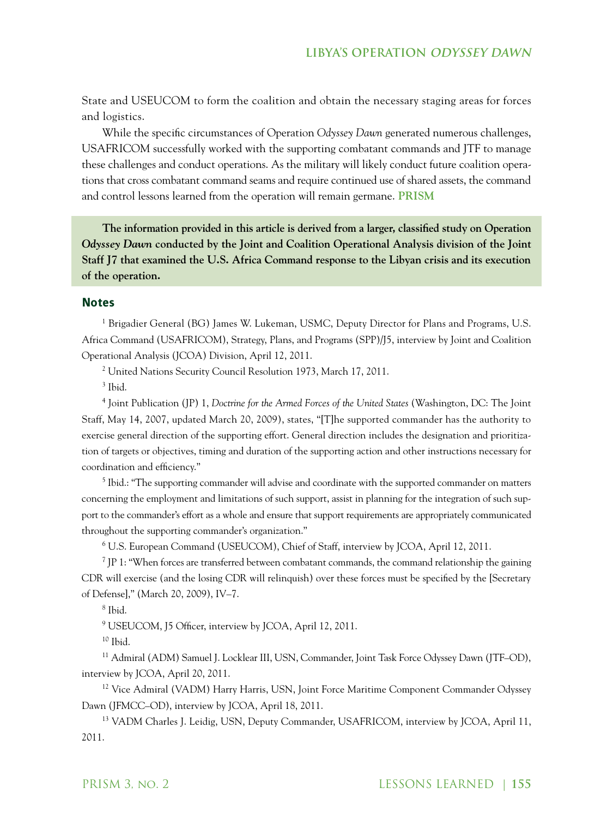State and USEUCOM to form the coalition and obtain the necessary staging areas for forces and logistics.

While the specific circumstances of Operation *Odyssey Dawn* generated numerous challenges, USAFRICOM successfully worked with the supporting combatant commands and JTF to manage these challenges and conduct operations. As the military will likely conduct future coalition operations that cross combatant command seams and require continued use of shared assets, the command and control lessons learned from the operation will remain germane. **PRISM**

**The information provided in this article is derived from a larger, classified study on Operation**  *Odyssey Dawn* **conducted by the Joint and Coalition Operational Analysis division of the Joint Staff J7 that examined the U.S. Africa Command response to the Libyan crisis and its execution of the operation.**

#### **Notes**

<sup>1</sup> Brigadier General (BG) James W. Lukeman, USMC, Deputy Director for Plans and Programs, U.S. Africa Command (USAFRICOM), Strategy, Plans, and Programs (SPP)/J5, interview by Joint and Coalition Operational Analysis (JCOA) Division, April 12, 2011.

<sup>2</sup> United Nations Security Council Resolution 1973, March 17, 2011.

3 Ibid.

4 Joint Publication (JP) 1, *Doctrine for the Armed Forces of the United States* (Washington, DC: The Joint Staff, May 14, 2007, updated March 20, 2009), states, "[T]he supported commander has the authority to exercise general direction of the supporting effort. General direction includes the designation and prioritization of targets or objectives, timing and duration of the supporting action and other instructions necessary for coordination and efficiency."

<sup>5</sup> Ibid.: "The supporting commander will advise and coordinate with the supported commander on matters concerning the employment and limitations of such support, assist in planning for the integration of such support to the commander's effort as a whole and ensure that support requirements are appropriately communicated throughout the supporting commander's organization."

6 U.S. European Command (USEUCOM), Chief of Staff, interview by JCOA, April 12, 2011.

<sup>7</sup> JP 1: "When forces are transferred between combatant commands, the command relationship the gaining CDR will exercise (and the losing CDR will relinquish) over these forces must be specified by the [Secretary of Defense]," (March 20, 2009), IV–7.

8 Ibid.

9 USEUCOM, J5 Officer, interview by JCOA, April 12, 2011.

 $10$  Ibid.

11 Admiral (ADM) Samuel J. Locklear III, USN, Commander, Joint Task Force Odyssey Dawn (JTF–OD), interview by JCOA, April 20, 2011.

<sup>12</sup> Vice Admiral (VADM) Harry Harris, USN, Joint Force Maritime Component Commander Odyssey Dawn (JFMCC–OD), interview by JCOA, April 18, 2011.

<sup>13</sup> VADM Charles J. Leidig, USN, Deputy Commander, USAFRICOM, interview by JCOA, April 11, 2011.